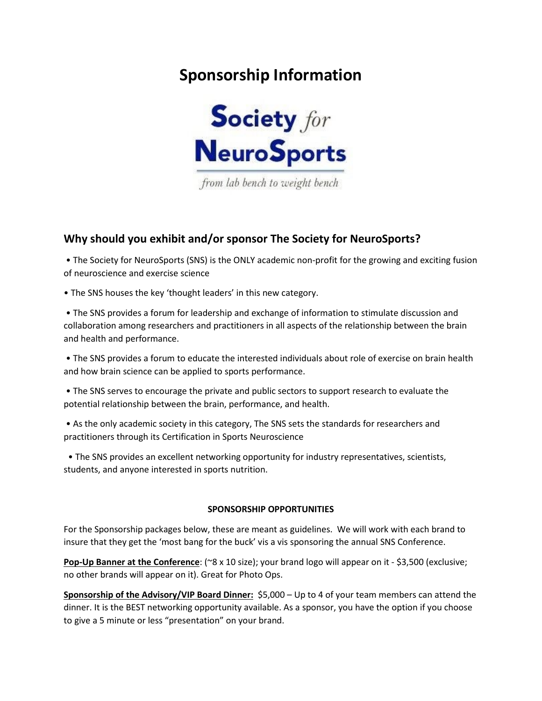# **Sponsorship Information**



from lab bench to weight bench

## **Why should you exhibit and/or sponsor The Society for NeuroSports?**

• The Society for NeuroSports (SNS) is the ONLY academic non-profit for the growing and exciting fusion of neuroscience and exercise science

• The SNS houses the key 'thought leaders' in this new category.

• The SNS provides a forum for leadership and exchange of information to stimulate discussion and collaboration among researchers and practitioners in all aspects of the relationship between the brain and health and performance.

• The SNS provides a forum to educate the interested individuals about role of exercise on brain health and how brain science can be applied to sports performance.

• The SNS serves to encourage the private and public sectors to support research to evaluate the potential relationship between the brain, performance, and health.

• As the only academic society in this category, The SNS sets the standards for researchers and practitioners through its Certification in Sports Neuroscience

 • The SNS provides an excellent networking opportunity for industry representatives, scientists, students, and anyone interested in sports nutrition.

#### **SPONSORSHIP OPPORTUNITIES**

For the Sponsorship packages below, these are meant as guidelines. We will work with each brand to insure that they get the 'most bang for the buck' vis a vis sponsoring the annual SNS Conference.

**Pop-Up Banner at the Conference**: (~8 x 10 size); your brand logo will appear on it - \$3,500 (exclusive; no other brands will appear on it). Great for Photo Ops.

**Sponsorship of the Advisory/VIP Board Dinner:** \$5,000 – Up to 4 of your team members can attend the dinner. It is the BEST networking opportunity available. As a sponsor, you have the option if you choose to give a 5 minute or less "presentation" on your brand.